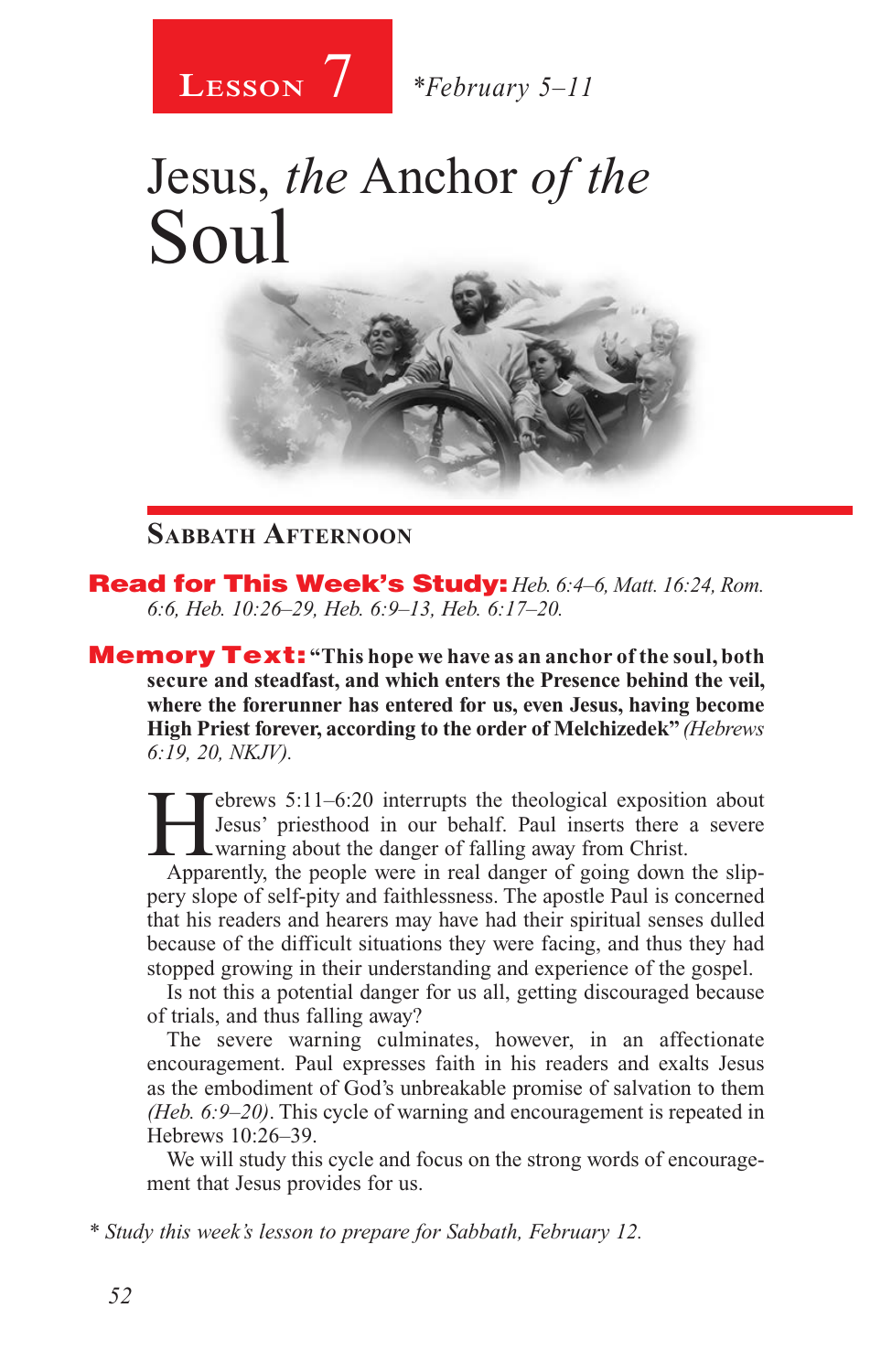

# Jesus, *the* Anchor *of the* Soul



#### **Sabbath Afternoon**

Read for This Week's Study: *Heb. 6:4–6, Matt. 16:24, Rom. 6:6, Heb. 10:26–29, Heb. 6:9–13, Heb. 6:17–20.*

Memory Text: **"This hope we have as an anchor of the soul, both secure and steadfast, and which enters the Presence behind the veil, where the forerunner has entered for us, even Jesus, having become High Priest forever, according to the order of Melchizedek"** *(Hebrews 6:19, 20, NKJV).*

 $\epsilon$  = brews 5:11–6:20 interrupts the theological exposition about Jesus' priesthood in our behalf. Paul inserts there a severe warning about the danger of falling away from Christ.

Apparently, the people were in real danger of going down the slippery slope of self-pity and faithlessness. The apostle Paul is concerned that his readers and hearers may have had their spiritual senses dulled because of the difficult situations they were facing, and thus they had stopped growing in their understanding and experience of the gospel.

Is not this a potential danger for us all, getting discouraged because of trials, and thus falling away?

The severe warning culminates, however, in an affectionate encouragement. Paul expresses faith in his readers and exalts Jesus as the embodiment of God's unbreakable promise of salvation to them *(Heb. 6:9–20)*. This cycle of warning and encouragement is repeated in Hebrews 10:26–39.

We will study this cycle and focus on the strong words of encouragement that Jesus provides for us.

*\* Study this week's lesson to prepare for Sabbath, February 12.*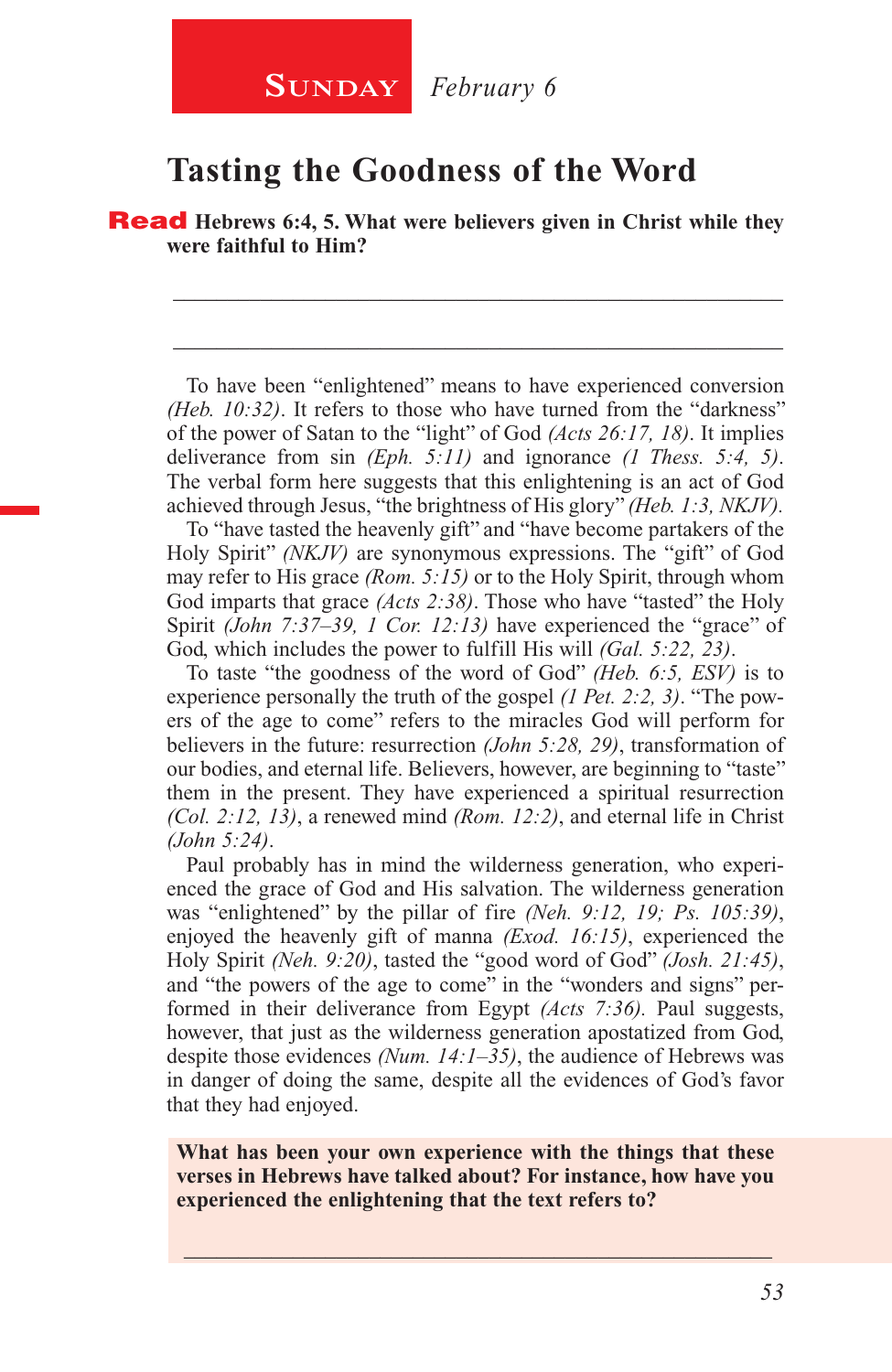#### **Tasting the Goodness of the Word**

Read **Hebrews 6:4, 5. What were believers given in Christ while they were faithful to Him?**

To have been "enlightened" means to have experienced conversion *(Heb. 10:32)*. It refers to those who have turned from the "darkness" of the power of Satan to the "light" of God *(Acts 26:17, 18)*. It implies deliverance from sin *(Eph. 5:11)* and ignorance *(1 Thess. 5:4, 5)*. The verbal form here suggests that this enlightening is an act of God achieved through Jesus, "the brightness of His glory" *(Heb. 1:3, NKJV).* 

\_\_\_\_\_\_\_\_\_\_\_\_\_\_\_\_\_\_\_\_\_\_\_\_\_\_\_\_\_\_\_\_\_\_\_\_\_\_\_\_\_\_\_\_\_\_\_\_\_\_\_\_\_\_\_\_

\_\_\_\_\_\_\_\_\_\_\_\_\_\_\_\_\_\_\_\_\_\_\_\_\_\_\_\_\_\_\_\_\_\_\_\_\_\_\_\_\_\_\_\_\_\_\_\_\_\_\_\_\_\_\_\_

To "have tasted the heavenly gift" and "have become partakers of the Holy Spirit" *(NKJV)* are synonymous expressions. The "gift" of God may refer to His grace *(Rom. 5:15)* or to the Holy Spirit, through whom God imparts that grace *(Acts 2:38)*. Those who have "tasted" the Holy Spirit *(John 7:37–39, 1 Cor. 12:13)* have experienced the "grace" of God, which includes the power to fulfill His will *(Gal. 5:22, 23)*.

To taste "the goodness of the word of God" *(Heb. 6:5, ESV)* is to experience personally the truth of the gospel *(1 Pet. 2:2, 3)*. "The powers of the age to come" refers to the miracles God will perform for believers in the future: resurrection *(John 5:28, 29)*, transformation of our bodies, and eternal life. Believers, however, are beginning to "taste" them in the present. They have experienced a spiritual resurrection *(Col. 2:12, 13)*, a renewed mind *(Rom. 12:2)*, and eternal life in Christ *(John 5:24)*.

Paul probably has in mind the wilderness generation, who experienced the grace of God and His salvation. The wilderness generation was "enlightened" by the pillar of fire *(Neh. 9:12, 19; Ps. 105:39)*, enjoyed the heavenly gift of manna *(Exod. 16:15)*, experienced the Holy Spirit *(Neh. 9:20)*, tasted the "good word of God" *(Josh. 21:45)*, and "the powers of the age to come" in the "wonders and signs" performed in their deliverance from Egypt *(Acts 7:36).* Paul suggests, however, that just as the wilderness generation apostatized from God, despite those evidences *(Num. 14:1–35)*, the audience of Hebrews was in danger of doing the same, despite all the evidences of God's favor that they had enjoyed.

**What has been your own experience with the things that these verses in Hebrews have talked about? For instance, how have you experienced the enlightening that the text refers to?**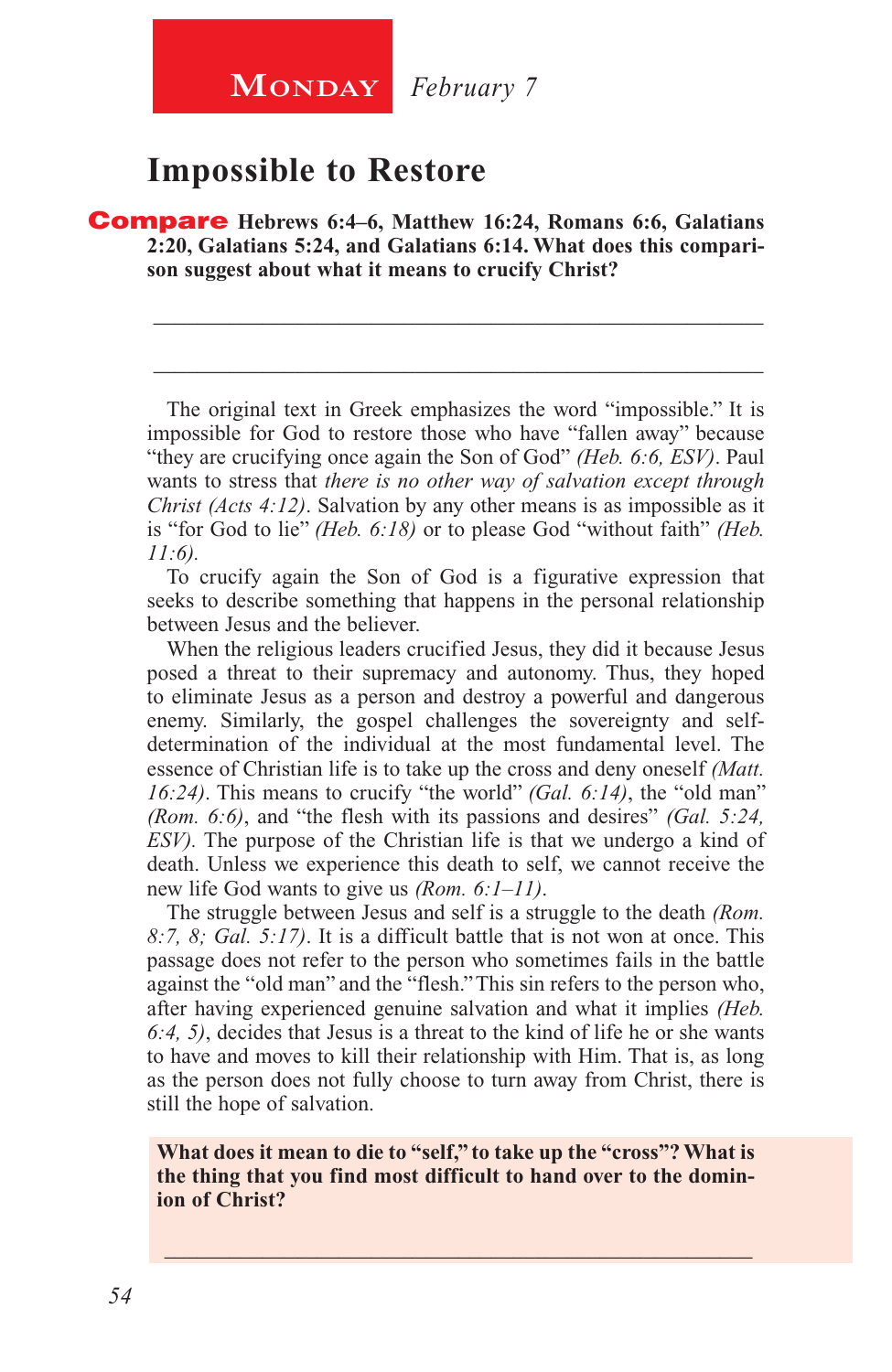#### **Impossible to Restore**

Compare **Hebrews 6:4–6, Matthew 16:24, Romans 6:6, Galatians 2:20, Galatians 5:24, and Galatians 6:14. What does this comparison suggest about what it means to crucify Christ?**

The original text in Greek emphasizes the word "impossible." It is impossible for God to restore those who have "fallen away" because "they are crucifying once again the Son of God" *(Heb. 6:6, ESV)*. Paul wants to stress that *there is no other way of salvation except through Christ (Acts 4:12)*. Salvation by any other means is as impossible as it is "for God to lie" *(Heb. 6:18)* or to please God "without faith" *(Heb. 11:6).*

\_\_\_\_\_\_\_\_\_\_\_\_\_\_\_\_\_\_\_\_\_\_\_\_\_\_\_\_\_\_\_\_\_\_\_\_\_\_\_\_\_\_\_\_\_\_\_\_\_\_\_\_\_\_\_\_

\_\_\_\_\_\_\_\_\_\_\_\_\_\_\_\_\_\_\_\_\_\_\_\_\_\_\_\_\_\_\_\_\_\_\_\_\_\_\_\_\_\_\_\_\_\_\_\_\_\_\_\_\_\_\_\_

To crucify again the Son of God is a figurative expression that seeks to describe something that happens in the personal relationship between Jesus and the believer.

When the religious leaders crucified Jesus, they did it because Jesus posed a threat to their supremacy and autonomy. Thus, they hoped to eliminate Jesus as a person and destroy a powerful and dangerous enemy. Similarly, the gospel challenges the sovereignty and selfdetermination of the individual at the most fundamental level. The essence of Christian life is to take up the cross and deny oneself *(Matt. 16:24)*. This means to crucify "the world" *(Gal. 6:14)*, the "old man" *(Rom. 6:6)*, and "the flesh with its passions and desires" *(Gal. 5:24, ESV).* The purpose of the Christian life is that we undergo a kind of death. Unless we experience this death to self, we cannot receive the new life God wants to give us *(Rom. 6:1–11)*.

The struggle between Jesus and self is a struggle to the death *(Rom. 8:7, 8; Gal. 5:17)*. It is a difficult battle that is not won at once. This passage does not refer to the person who sometimes fails in the battle against the "old man" and the "flesh." This sin refers to the person who, after having experienced genuine salvation and what it implies *(Heb. 6:4, 5)*, decides that Jesus is a threat to the kind of life he or she wants to have and moves to kill their relationship with Him. That is, as long as the person does not fully choose to turn away from Christ, there is still the hope of salvation.

**What does it mean to die to "self," to take up the "cross"? What is the thing that you find most difficult to hand over to the dominion of Christ?**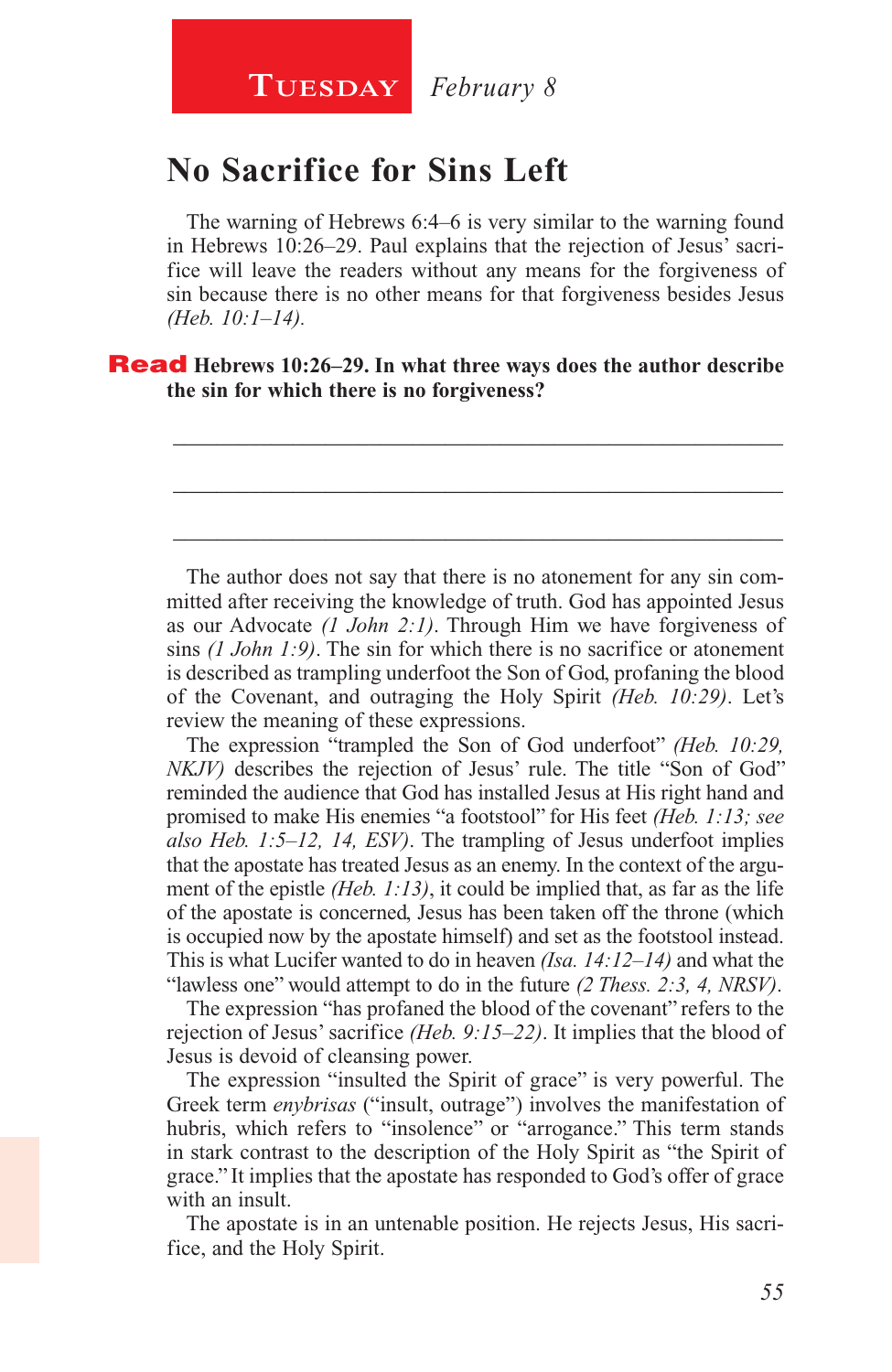### **No Sacrifice for Sins Left**

The warning of Hebrews 6:4–6 is very similar to the warning found in Hebrews 10:26–29. Paul explains that the rejection of Jesus' sacrifice will leave the readers without any means for the forgiveness of sin because there is no other means for that forgiveness besides Jesus *(Heb. 10:1–14).*

\_\_\_\_\_\_\_\_\_\_\_\_\_\_\_\_\_\_\_\_\_\_\_\_\_\_\_\_\_\_\_\_\_\_\_\_\_\_\_\_\_\_\_\_\_\_\_\_\_\_\_\_\_\_\_\_

\_\_\_\_\_\_\_\_\_\_\_\_\_\_\_\_\_\_\_\_\_\_\_\_\_\_\_\_\_\_\_\_\_\_\_\_\_\_\_\_\_\_\_\_\_\_\_\_\_\_\_\_\_\_\_\_

\_\_\_\_\_\_\_\_\_\_\_\_\_\_\_\_\_\_\_\_\_\_\_\_\_\_\_\_\_\_\_\_\_\_\_\_\_\_\_\_\_\_\_\_\_\_\_\_\_\_\_\_\_\_\_\_

#### Read **Hebrews 10:26–29. In what three ways does the author describe the sin for which there is no forgiveness?**

The author does not say that there is no atonement for any sin committed after receiving the knowledge of truth. God has appointed Jesus as our Advocate *(1 John 2:1)*. Through Him we have forgiveness of sins *(1 John 1:9)*. The sin for which there is no sacrifice or atonement is described as trampling underfoot the Son of God, profaning the blood of the Covenant, and outraging the Holy Spirit *(Heb. 10:29)*. Let's review the meaning of these expressions.

The expression "trampled the Son of God underfoot" *(Heb. 10:29, NKJV*) describes the rejection of Jesus' rule. The title "Son of God" reminded the audience that God has installed Jesus at His right hand and promised to make His enemies "a footstool" for His feet *(Heb. 1:13; see also Heb. 1:5–12, 14, ESV)*. The trampling of Jesus underfoot implies that the apostate has treated Jesus as an enemy. In the context of the argument of the epistle *(Heb. 1:13)*, it could be implied that, as far as the life of the apostate is concerned, Jesus has been taken off the throne (which is occupied now by the apostate himself) and set as the footstool instead. This is what Lucifer wanted to do in heaven *(Isa. 14:12–14)* and what the "lawless one" would attempt to do in the future *(2 Thess. 2:3, 4, NRSV)*.

The expression "has profaned the blood of the covenant" refers to the rejection of Jesus' sacrifice *(Heb. 9:15–22)*. It implies that the blood of Jesus is devoid of cleansing power.

The expression "insulted the Spirit of grace" is very powerful. The Greek term *enybrisas* ("insult, outrage") involves the manifestation of hubris, which refers to "insolence" or "arrogance." This term stands in stark contrast to the description of the Holy Spirit as "the Spirit of grace." It implies that the apostate has responded to God's offer of grace with an insult.

The apostate is in an untenable position. He rejects Jesus, His sacrifice, and the Holy Spirit.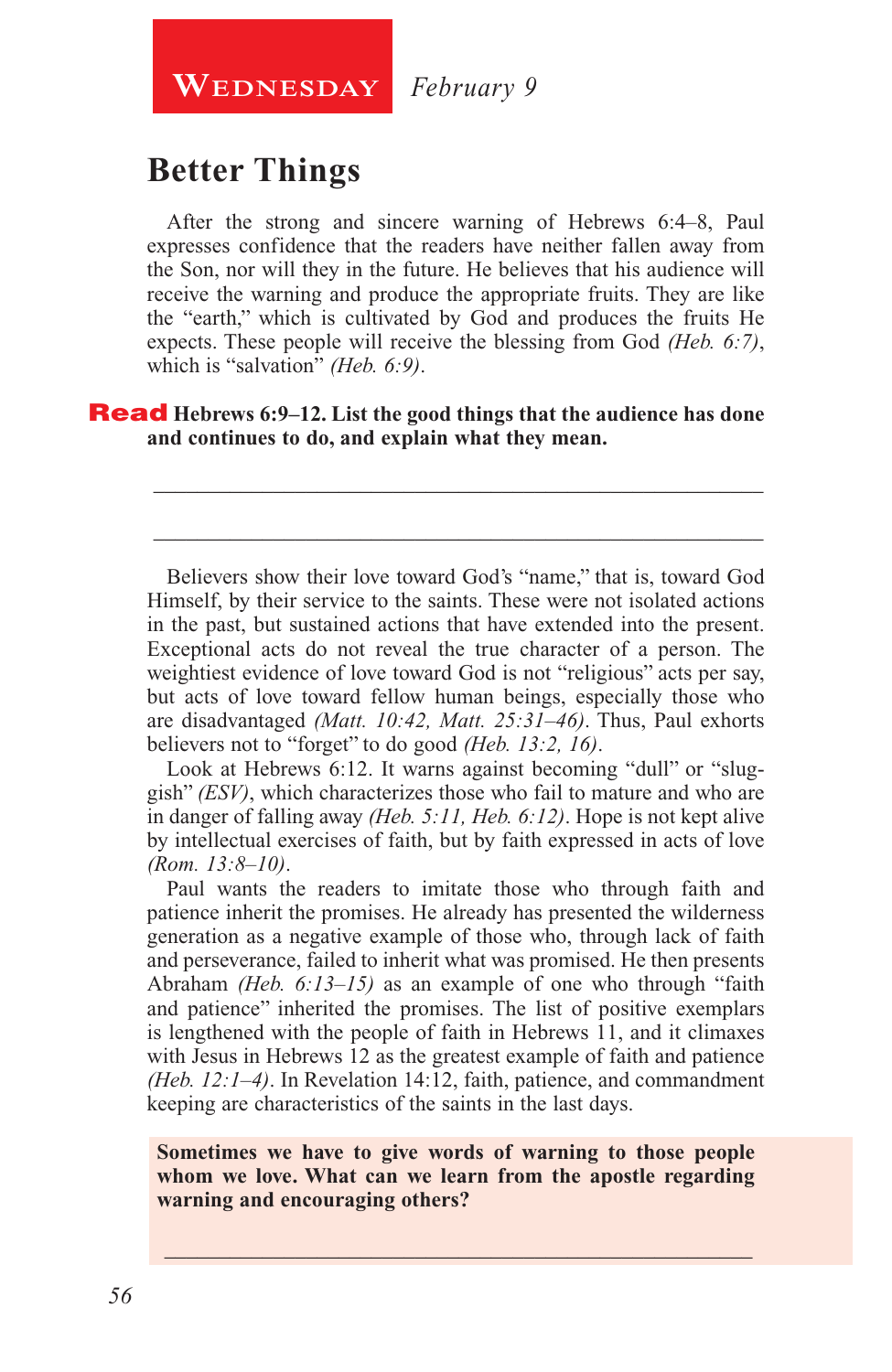**WEDNESDAY** February 9

## **Better Things**

After the strong and sincere warning of Hebrews 6:4–8, Paul expresses confidence that the readers have neither fallen away from the Son, nor will they in the future. He believes that his audience will receive the warning and produce the appropriate fruits. They are like the "earth," which is cultivated by God and produces the fruits He expects. These people will receive the blessing from God *(Heb. 6:7)*, which is "salvation" *(Heb. 6:9)*.

**Read** Hebrews 6:9–12. List the good things that the audience has done **and continues to do, and explain what they mean.**

Believers show their love toward God's "name," that is, toward God Himself, by their service to the saints. These were not isolated actions in the past, but sustained actions that have extended into the present. Exceptional acts do not reveal the true character of a person. The weightiest evidence of love toward God is not "religious" acts per say, but acts of love toward fellow human beings, especially those who are disadvantaged *(Matt. 10:42, Matt. 25:31–46)*. Thus, Paul exhorts believers not to "forget" to do good *(Heb. 13:2, 16)*.

\_\_\_\_\_\_\_\_\_\_\_\_\_\_\_\_\_\_\_\_\_\_\_\_\_\_\_\_\_\_\_\_\_\_\_\_\_\_\_\_\_\_\_\_\_\_\_\_\_\_\_\_\_\_\_\_

\_\_\_\_\_\_\_\_\_\_\_\_\_\_\_\_\_\_\_\_\_\_\_\_\_\_\_\_\_\_\_\_\_\_\_\_\_\_\_\_\_\_\_\_\_\_\_\_\_\_\_\_\_\_\_\_

Look at Hebrews 6:12. It warns against becoming "dull" or "sluggish" *(ESV)*, which characterizes those who fail to mature and who are in danger of falling away *(Heb. 5:11, Heb. 6:12)*. Hope is not kept alive by intellectual exercises of faith, but by faith expressed in acts of love *(Rom. 13:8–10)*.

Paul wants the readers to imitate those who through faith and patience inherit the promises. He already has presented the wilderness generation as a negative example of those who, through lack of faith and perseverance, failed to inherit what was promised. He then presents Abraham *(Heb. 6:13–15)* as an example of one who through "faith and patience" inherited the promises. The list of positive exemplars is lengthened with the people of faith in Hebrews 11, and it climaxes with Jesus in Hebrews 12 as the greatest example of faith and patience *(Heb. 12:1–4)*. In Revelation 14:12, faith, patience, and commandment keeping are characteristics of the saints in the last days.

**Sometimes we have to give words of warning to those people whom we love. What can we learn from the apostle regarding warning and encouraging others?**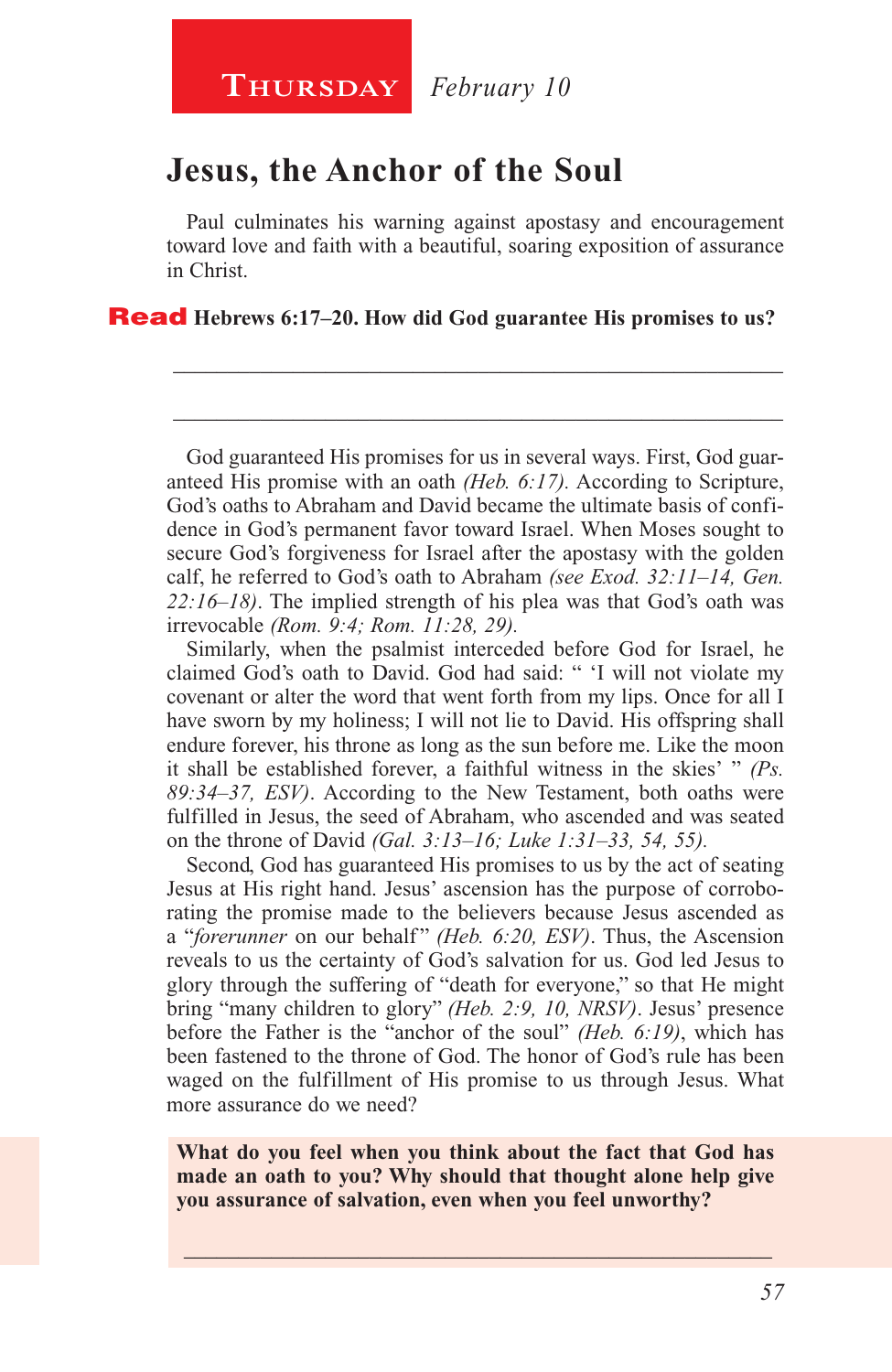#### **Jesus, the Anchor of the Soul**

Paul culminates his warning against apostasy and encouragement toward love and faith with a beautiful, soaring exposition of assurance in Christ.

\_\_\_\_\_\_\_\_\_\_\_\_\_\_\_\_\_\_\_\_\_\_\_\_\_\_\_\_\_\_\_\_\_\_\_\_\_\_\_\_\_\_\_\_\_\_\_\_\_\_\_\_\_\_\_\_

\_\_\_\_\_\_\_\_\_\_\_\_\_\_\_\_\_\_\_\_\_\_\_\_\_\_\_\_\_\_\_\_\_\_\_\_\_\_\_\_\_\_\_\_\_\_\_\_\_\_\_\_\_\_\_\_

Read **Hebrews 6:17–20. How did God guarantee His promises to us?**

God guaranteed His promises for us in several ways. First, God guaranteed His promise with an oath *(Heb. 6:17).* According to Scripture, God's oaths to Abraham and David became the ultimate basis of confidence in God's permanent favor toward Israel. When Moses sought to secure God's forgiveness for Israel after the apostasy with the golden calf, he referred to God's oath to Abraham *(see Exod. 32:11–14, Gen. 22:16–18)*. The implied strength of his plea was that God's oath was irrevocable *(Rom. 9:4; Rom. 11:28, 29).*

Similarly, when the psalmist interceded before God for Israel, he claimed God's oath to David. God had said: " 'I will not violate my covenant or alter the word that went forth from my lips. Once for all I have sworn by my holiness; I will not lie to David. His offspring shall endure forever, his throne as long as the sun before me. Like the moon it shall be established forever, a faithful witness in the skies' " *(Ps. 89:34–37, ESV)*. According to the New Testament, both oaths were fulfilled in Jesus, the seed of Abraham, who ascended and was seated on the throne of David *(Gal. 3:13–16; Luke 1:31–33, 54, 55).*

Second, God has guaranteed His promises to us by the act of seating Jesus at His right hand. Jesus' ascension has the purpose of corroborating the promise made to the believers because Jesus ascended as a "*forerunner* on our behalf" *(Heb. 6:20, ESV)*. Thus, the Ascension reveals to us the certainty of God's salvation for us. God led Jesus to glory through the suffering of "death for everyone," so that He might bring "many children to glory" *(Heb. 2:9, 10, NRSV)*. Jesus' presence before the Father is the "anchor of the soul" *(Heb. 6:19)*, which has been fastened to the throne of God. The honor of God's rule has been waged on the fulfillment of His promise to us through Jesus. What more assurance do we need?

**What do you feel when you think about the fact that God has made an oath to you? Why should that thought alone help give you assurance of salvation, even when you feel unworthy?**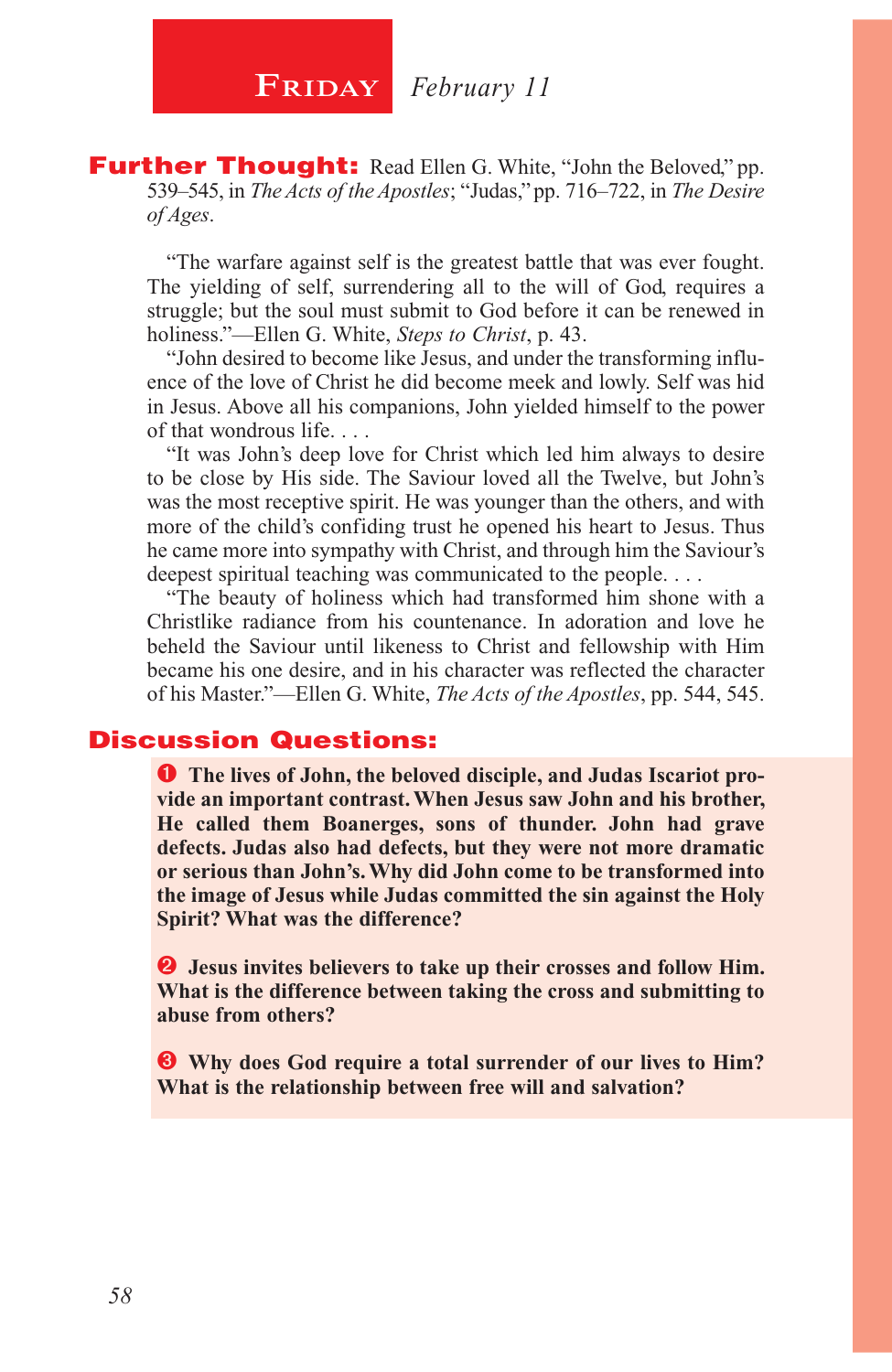**Further Thought:** Read Ellen G. White, "John the Beloved," pp. 539–545, in *The Acts of the Apostles*; "Judas," pp. 716–722, in *The Desire of Ages*.

"The warfare against self is the greatest battle that was ever fought. The yielding of self, surrendering all to the will of God, requires a struggle; but the soul must submit to God before it can be renewed in holiness."—Ellen G. White, *Steps to Christ*, p. 43.

"John desired to become like Jesus, and under the transforming influence of the love of Christ he did become meek and lowly. Self was hid in Jesus. Above all his companions, John yielded himself to the power of that wondrous life. . . .

"It was John's deep love for Christ which led him always to desire to be close by His side. The Saviour loved all the Twelve, but John's was the most receptive spirit. He was younger than the others, and with more of the child's confiding trust he opened his heart to Jesus. Thus he came more into sympathy with Christ, and through him the Saviour's deepest spiritual teaching was communicated to the people. . . .

"The beauty of holiness which had transformed him shone with a Christlike radiance from his countenance. In adoration and love he beheld the Saviour until likeness to Christ and fellowship with Him became his one desire, and in his character was reflected the character of his Master."—Ellen G. White, *The Acts of the Apostles*, pp. 544, 545.

#### Discussion Questions:

**The lives of John, the beloved disciple, and Judas Iscariot provide an important contrast. When Jesus saw John and his brother, He called them Boanerges, sons of thunder. John had grave defects. Judas also had defects, but they were not more dramatic or serious than John's. Why did John come to be transformed into the image of Jesus while Judas committed the sin against the Holy Spirit? What was the difference?**

 **Jesus invites believers to take up their crosses and follow Him. What is the difference between taking the cross and submitting to abuse from others?**

 **Why does God require a total surrender of our lives to Him? What is the relationship between free will and salvation?**